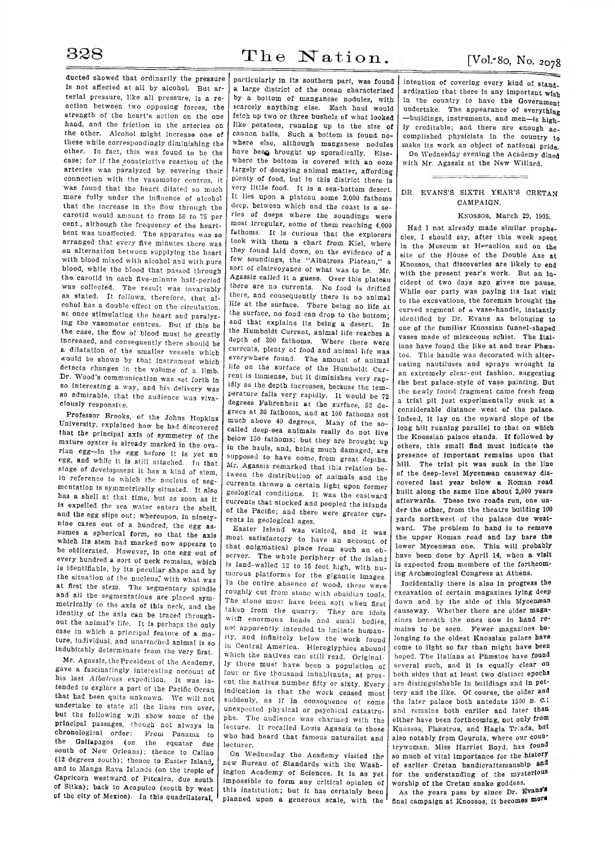ducted showed that ordinarily the pressure is not affected at all by alcohol. But arterial pressure, like all pressure, is a reaction between two opposing forces, the strength of the heart's action on the one hand, and the friction in the arteries on the other. Alcohol might increase one of these while correspondingly diminishing the other. In fact, this was found to be the case; for if the constrictive reaction of the arteries was paralyzed by severing their connection with the vasomotor centres, it was found that the heart dilated so much more fully under the influence of alcohol that the increase in the flow through the carotid would amount to from 50 to 75 per cent., although the frequency of the heartbeat was unaffected. The apparatus was so arranged that every five minutes there was an alternation between supplying the heart with blood mixed with alcohol and with pure blood, while the blood that passed through the carotid in each five-minute half-period was collected. The result was invariably as stated. It follows, therefore, that alcohol has a double effect on the circulation, at once stimulating the heart and paralyzing the vasomotor centres. But if this be the case, the flow of blood must be greatly Increased, and consequently there should be a dilatation of the smaller vessels which would be shown by that instrument which detects changes in the volume of a limb. Dr. Wood's communication was set forth in so interesting a way, and his delivery was so admirable, that the audience was vivaciously responsive.

Professor Brooks, of the Johns Hopkins University, explained how he had discovered that the principal axis of symmetry of the mature oyster is already marked in the ovarian egg—in the egg before it is yet an egg, and while it is still attached. In that stage of development it has a kind of stem, in reference to which the nucleus of segmentation is symmetrically situated. It also has a shell at that time, but as soon as it is expelled the sea water enters the shell, and the egg slips out; whereupon, in ninetynine cases out of a hundred, the egg assumes a spherical form, so that the axis which its stem had marked now appears to be obliterated. However, in one egg out of every hundred a sort of neck remains, which is identifiable, by its peculiar shape and by the situation of the nucleus, with what was at first the stem. The segmentary spindle and all the segmentations are placed symmetrically to the axis of this neck, and the identity of the axis can be traced throughout the animal's life. It is perhaps the only case in which a principal feature of a mature, individual, and unattached animal is so indubitably determinate from the very first.

Mr. Agassiz, the President of the Academy, gave a fascinatingly interesting account of his last *Albatross* expedition. It was intended to explore a part of the Pacific Ocean that had been quite unknown. We will not undertake to state all the lines run over, but the following will show some of the principal passages, though not always in chronological order: From Panama to From Panama to the Gallapagos (on the equator due south of New Orleans); thence to Callao (12 degrees south); thence to Easter Island, and to Manga Rava Islands (on the tropic of Capricorn westward of Pitcairn, due south of Sitka); back to Acapulco (south by west of the city of Mexico). In this quadrilateral,

particularly in its southern part, was found a large district of the ocean characterized by a bottom of manganese nodules, with scarcely anything else. Each haul would fetch up two or three bushels of what looked like potatoes, running up to the size of cannon balls. Such a bottom is found nowhere else, although manganese nodules have been brought up sporadically. Elsewhere the bottom is covered with an ooze largely of decaying animal matter, affording plenty of food, but in this district there is very little food. It is a sea-bottom desert. It lies upon a plateau some 2,000 fathoms deep, between which and the coast is a series of deeps where the soundings were most irregular, some of them reaching 4,000 fathoms. It is curious that the explorers took with them a chart from Kiel, where they found laid down, on the evidence of a few soundings, the "Albatross Plateau," a sort of clairvoyance of what was to be. Mr. Agassiz called it a guess. Over this plateau there are no currents. No food is drifted there, and consequently there is no animal life at the surface. There being no life at the surface, no food can drop to the bottom; and that explains its being a desert. In the Humboldt Current, animal life reaches a depth of 300 fathoms. Where there were currents, plenty of food and animal life was everywhere found. The amount of animal life on the surface of the Humboldt Current is immense, but it diminishes very rapidly as the depth increases, because the temperature falls very rapidly. It would be 72 degrees Fahrenheit at the surface, 52 degrees at 30 fathoms, and at 100 fathoms not much above 40 degrees. Many of the socalled deep-sea animals really do not live below 150 fathoms; but they are brought up in the hauls, and, being much damaged, are supposed to have come, from great depths. Mr. Agassiz remarked that this relation between the distribution of animals, and the currents throws a certain light upon former geological conditions. It was the eastward currents that stocked and peopled the islands of the Pacific; and there were greater currents in geological ages.

Easter Island was visited, and it was most satisfactory to have an account of that enigmatical place from such an observer. The whole periphery of the island is land-walled 12 to 15 feet high, with numerous platforms for the gigantic images. In the entire absence of wood, these were roughly cut from stone with obsidian tools. The stone must have been soft when first taken from the quarry. They are idols with enormous heads and small bodies, not apparently intended to imitate humanity, and infinitely below the work found in Central America. Hieroglyphics abound which the natives can still read. Originally there must have been a population of four or five thousand inhabitants; at present the natives number fifty or sixty. Every indication is that the work ceased most suddenly, as if in consequence of some unexpected physical or psychical catastrophe. The audience was charmed with the lecture. It recalled Louis Agassiz to those who had heard that famous naturalist and lecturer.

On Wednesday the Academy visited the new Bureau of Standards with the Washington Academy of Sciences. It Is as yet impossible to form any critical opinion of this institution; but it has certainly been planned upon a generous scale, with the

intention of covering every kind of standardization that there is any important **wish** in the country to have the Government undertake. The appearance of everything —buildings, instruments, and men—is highly creditable; and there are enough accomplished physicists in the country **to** make its work an object of national pride. On Wednesday evening the Academy dined with Mr. Agassiz at the New Willard.

## DR. EVANS'S SIXTH YEAR'S CRETAN CAMPAIGN.

## **KNOSSOS, March 29, 1905.**

Had I not already made similar prophecies, I should say, after this week spent in the Museum at Heraclion and on the site of the House of the Double Axe at Knossos, that discoveries are likely to end with the present year's work. But an incident of two days ago gives me pause. While our party was paying its last visit to the excavations, the foreman brought the curved segment of a vase-handle, instantly identified by Dr. Evans as belonging to one of the familiar Knossian funnel-shaped vases made of micaceous schist. The Italians have found the like at and near Phaestos. This handle was decorated with alternating nautiluses and sprays wrought in an extremely clear-cut fashion, suggesting the best palace-style of vase painting. But the newly found fragment came fresh from a trial pit just experimentally sunk at a considerable distance west of the palace. Indeed, it lay on the upward slope of the long hill running parallel to that on which the Knossian palace stands. If followed by others, this small find must indicate the presence of important remains upon that hill. The trial pit was sunk in the line of the deep-level Mycenaean causeway discovered last year below a Roman road built along the same line about 2,000 years afterwards. These two roads run, one under the other, from the theatre building 100 yards northwest of the palace due westward. The problem in hand is to remove the upper Roman road and lay bare the lower Mycenæan one. This will probably have been done by April 14, when a visit is expected from members of the forthcoming Archaeological Congress at Athens.

Incidentally there is also in progress the excavation of certain magazines lying deep down and by the side of this Mycenæan causeway. Whether there are older magazines beneath the ones now in hand remains to be seen. Fewer magazines belonging to the oldest Knossian palace have come to light so far than might have been hoped. The Italians at Phæstos have found several such, and it is equally clear on both sides that at least two distinct epochs are distinguishable in buildings and in pottery and the like. Of course, the older and the later palace both antedate 1500 **<sup>b</sup> . <sup>c</sup> .;** and remains both earlier and later than either have been forthcoming, not only from Knossos, Phæstros, and Hagia Triada, but also notably from Gournia, where our countrywoman, Miss Harriet Boyd, has found so much of vital importance for the history of earlier Cretan handicraftsmanship and for the understanding of the mysterious worship of the Cretan snake goddess.

As the years pass by since Dr. **Evan9\*** final campaign at Knossos, it becomes more